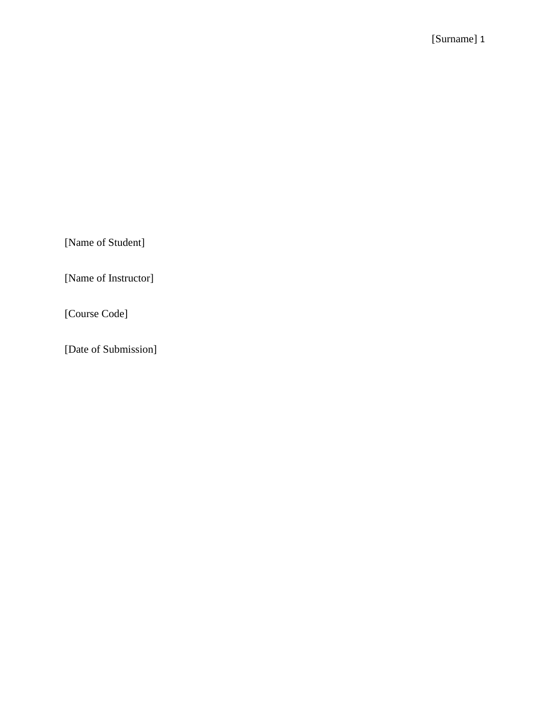[Name of Student]

[Name of Instructor]

[Course Code]

[Date of Submission]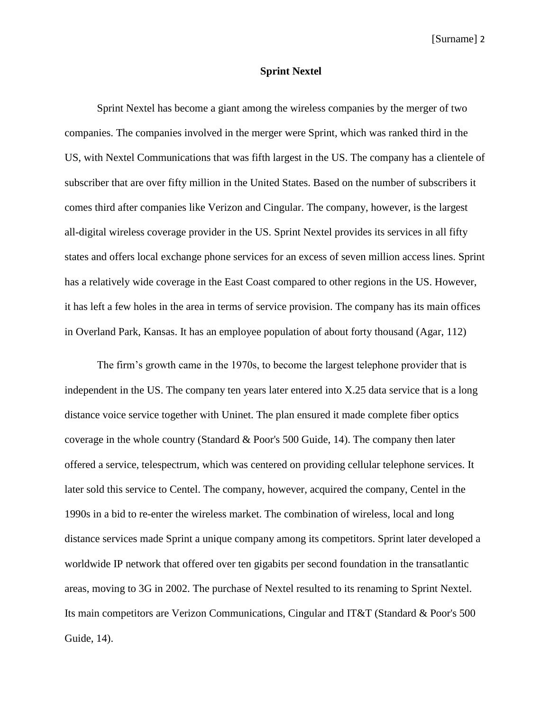## **Sprint Nextel**

Sprint Nextel has become a giant among the wireless companies by the merger of two companies. The companies involved in the merger were Sprint, which was ranked third in the US, with Nextel Communications that was fifth largest in the US. The company has a clientele of subscriber that are over fifty million in the United States. Based on the number of subscribers it comes third after companies like Verizon and Cingular. The company, however, is the largest all-digital wireless coverage provider in the US. Sprint Nextel provides its services in all fifty states and offers local exchange phone services for an excess of seven million access lines. Sprint has a relatively wide coverage in the East Coast compared to other regions in the US. However, it has left a few holes in the area in terms of service provision. The company has its main offices in Overland Park, Kansas. It has an employee population of about forty thousand (Agar, 112)

The firm's growth came in the 1970s, to become the largest telephone provider that is independent in the US. The company ten years later entered into X.25 data service that is a long distance voice service together with Uninet. The plan ensured it made complete fiber optics coverage in the whole country (Standard & Poor's 500 Guide, 14). The company then later offered a service, telespectrum, which was centered on providing cellular telephone services. It later sold this service to Centel. The company, however, acquired the company, Centel in the 1990s in a bid to re-enter the wireless market. The combination of wireless, local and long distance services made Sprint a unique company among its competitors. Sprint later developed a worldwide IP network that offered over ten gigabits per second foundation in the transatlantic areas, moving to 3G in 2002. The purchase of Nextel resulted to its renaming to Sprint Nextel. Its main competitors are Verizon Communications, Cingular and IT&T (Standard & Poor's 500 Guide, 14).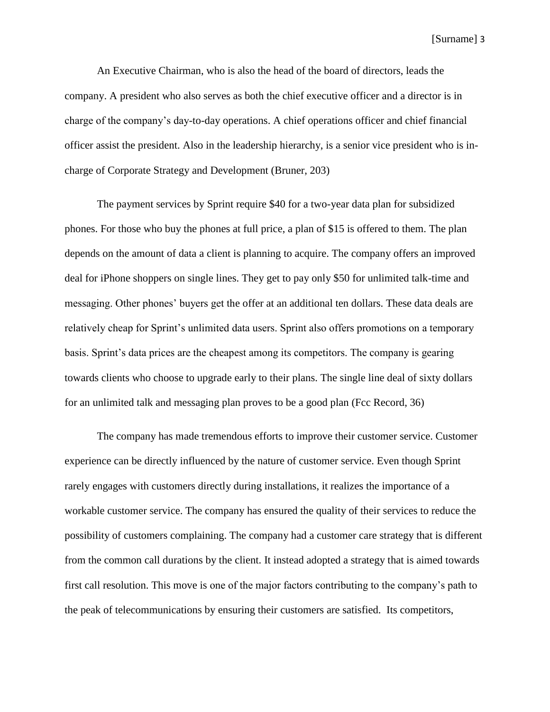An Executive Chairman, who is also the head of the board of directors, leads the company. A president who also serves as both the chief executive officer and a director is in charge of the company's day-to-day operations. A chief operations officer and chief financial officer assist the president. Also in the leadership hierarchy, is a senior vice president who is incharge of Corporate Strategy and Development (Bruner, 203)

The payment services by Sprint require \$40 for a two-year data plan for subsidized phones. For those who buy the phones at full price, a plan of \$15 is offered to them. The plan depends on the amount of data a client is planning to acquire. The company offers an improved deal for iPhone shoppers on single lines. They get to pay only \$50 for unlimited talk-time and messaging. Other phones' buyers get the offer at an additional ten dollars. These data deals are relatively cheap for Sprint's unlimited data users. Sprint also offers promotions on a temporary basis. Sprint's data prices are the cheapest among its competitors. The company is gearing towards clients who choose to upgrade early to their plans. The single line deal of sixty dollars for an unlimited talk and messaging plan proves to be a good plan (Fcc Record, 36)

The company has made tremendous efforts to improve their customer service. Customer experience can be directly influenced by the nature of customer service. Even though Sprint rarely engages with customers directly during installations, it realizes the importance of a workable customer service. The company has ensured the quality of their services to reduce the possibility of customers complaining. The company had a customer care strategy that is different from the common call durations by the client. It instead adopted a strategy that is aimed towards first call resolution. This move is one of the major factors contributing to the company's path to the peak of telecommunications by ensuring their customers are satisfied. Its competitors,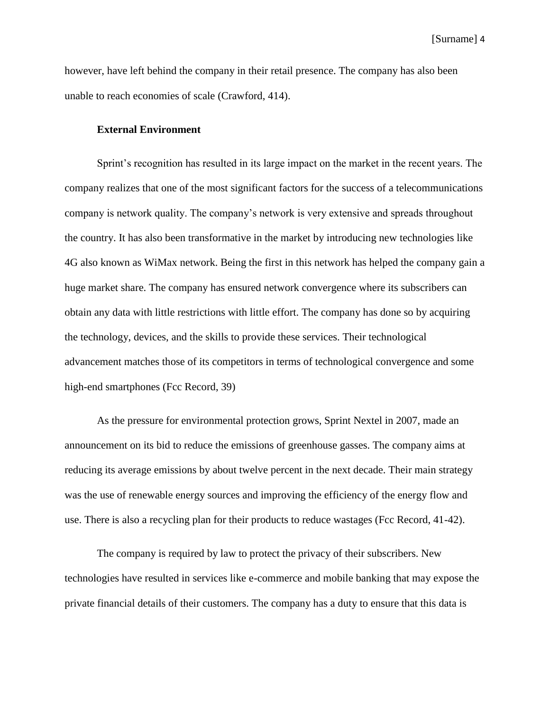however, have left behind the company in their retail presence. The company has also been unable to reach economies of scale (Crawford, 414).

### **External Environment**

Sprint's recognition has resulted in its large impact on the market in the recent years. The company realizes that one of the most significant factors for the success of a telecommunications company is network quality. The company's network is very extensive and spreads throughout the country. It has also been transformative in the market by introducing new technologies like 4G also known as WiMax network. Being the first in this network has helped the company gain a huge market share. The company has ensured network convergence where its subscribers can obtain any data with little restrictions with little effort. The company has done so by acquiring the technology, devices, and the skills to provide these services. Their technological advancement matches those of its competitors in terms of technological convergence and some high-end smartphones (Fcc Record, 39)

As the pressure for environmental protection grows, Sprint Nextel in 2007, made an announcement on its bid to reduce the emissions of greenhouse gasses. The company aims at reducing its average emissions by about twelve percent in the next decade. Their main strategy was the use of renewable energy sources and improving the efficiency of the energy flow and use. There is also a recycling plan for their products to reduce wastages (Fcc Record, 41-42).

The company is required by law to protect the privacy of their subscribers. New technologies have resulted in services like e-commerce and mobile banking that may expose the private financial details of their customers. The company has a duty to ensure that this data is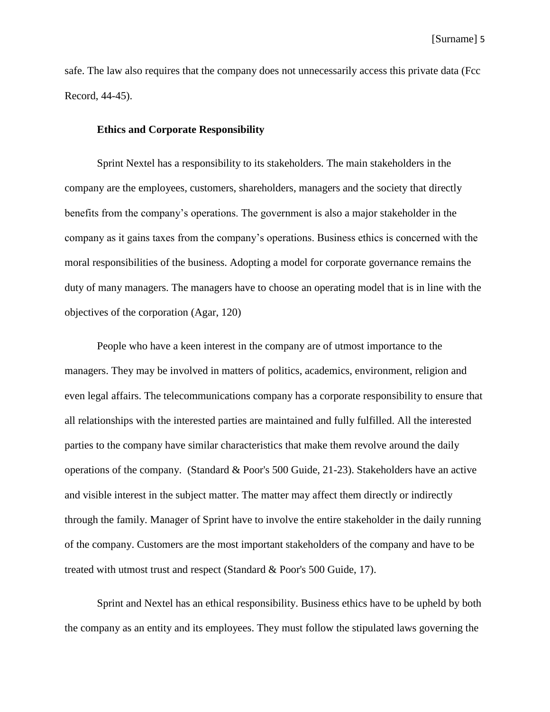safe. The law also requires that the company does not unnecessarily access this private data (Fcc Record, 44-45).

#### **Ethics and Corporate Responsibility**

Sprint Nextel has a responsibility to its stakeholders. The main stakeholders in the company are the employees, customers, shareholders, managers and the society that directly benefits from the company's operations. The government is also a major stakeholder in the company as it gains taxes from the company's operations. Business ethics is concerned with the moral responsibilities of the business. Adopting a model for corporate governance remains the duty of many managers. The managers have to choose an operating model that is in line with the objectives of the corporation (Agar, 120)

People who have a keen interest in the company are of utmost importance to the managers. They may be involved in matters of politics, academics, environment, religion and even legal affairs. The telecommunications company has a corporate responsibility to ensure that all relationships with the interested parties are maintained and fully fulfilled. All the interested parties to the company have similar characteristics that make them revolve around the daily operations of the company. (Standard & Poor's 500 Guide, 21-23). Stakeholders have an active and visible interest in the subject matter. The matter may affect them directly or indirectly through the family. Manager of Sprint have to involve the entire stakeholder in the daily running of the company. Customers are the most important stakeholders of the company and have to be treated with utmost trust and respect (Standard & Poor's 500 Guide, 17).

Sprint and Nextel has an ethical responsibility. Business ethics have to be upheld by both the company as an entity and its employees. They must follow the stipulated laws governing the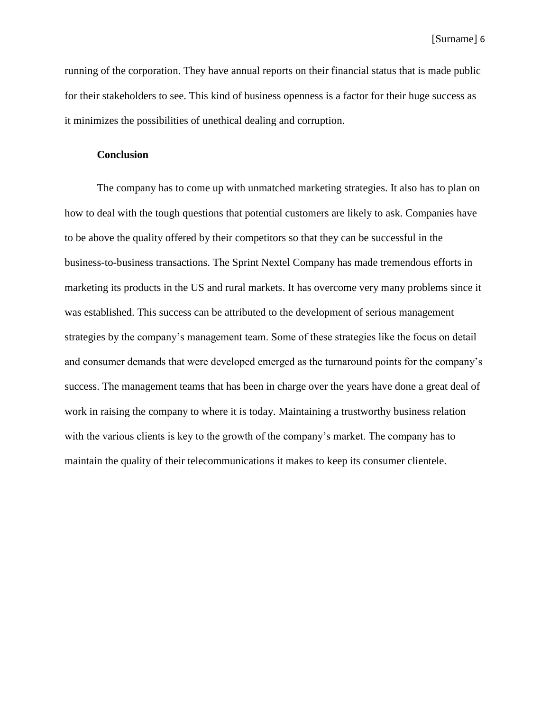running of the corporation. They have annual reports on their financial status that is made public for their stakeholders to see. This kind of business openness is a factor for their huge success as it minimizes the possibilities of unethical dealing and corruption.

## **Conclusion**

The company has to come up with unmatched marketing strategies. It also has to plan on how to deal with the tough questions that potential customers are likely to ask. Companies have to be above the quality offered by their competitors so that they can be successful in the business-to-business transactions. The Sprint Nextel Company has made tremendous efforts in marketing its products in the US and rural markets. It has overcome very many problems since it was established. This success can be attributed to the development of serious management strategies by the company's management team. Some of these strategies like the focus on detail and consumer demands that were developed emerged as the turnaround points for the company's success. The management teams that has been in charge over the years have done a great deal of work in raising the company to where it is today. Maintaining a trustworthy business relation with the various clients is key to the growth of the company's market. The company has to maintain the quality of their telecommunications it makes to keep its consumer clientele.